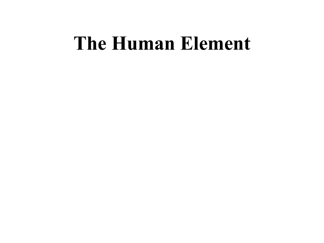# **The Human Element**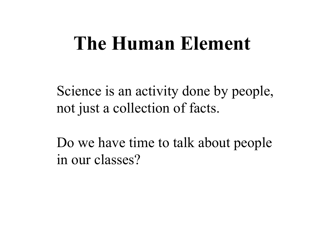# **The Human Element**

Science is an activity done by people, not just a collection of facts.

Do we have time to talk about people in our classes?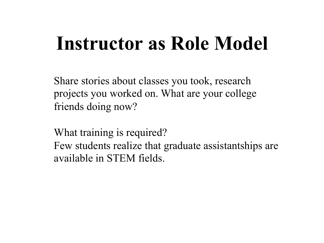# **Instructor as Role Model**

Share stories about classes you took, research projects you worked on. What are your college friends doing now?

What training is required? Few students realize that graduate assistantships are available in STEM fields.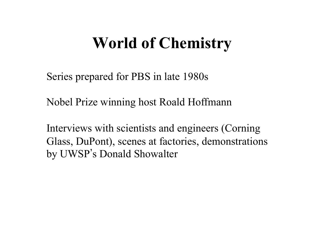#### **World of Chemistry**

Series prepared for PBS in late 1980s

Nobel Prize winning host Roald Hoffmann

Interviews with scientists and engineers (Corning Glass, DuPont), scenes at factories, demonstrations by UWSP's Donald Showalter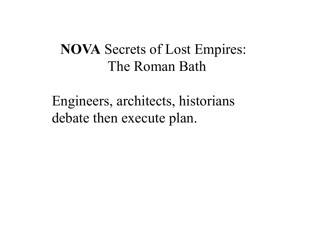#### **NOVA** Secrets of Lost Empires: The Roman Bath

Engineers, architects, historians debate then execute plan.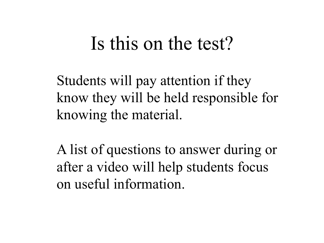### Is this on the test?

Students will pay attention if they know they will be held responsible for knowing the material.

A list of questions to answer during or after a video will help students focus on useful information.